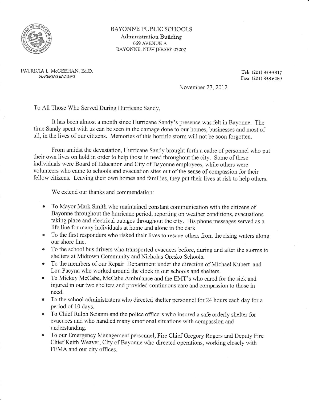

## BAYONNE PUBLIC SCHOOLS Administration Building 669 AVENUE A BAYONNE, NEW JERSEY O?OO2

PATRICIA L. McGEEHAN, Ed.D. SUPERINTENDENT

Tel (201) 858.581? Fax, (201) 858.6289

November 27, 2012

To All Those Who Served During Hurricane Sandy,

It has been almost a month since Hurricane Sandy's presence was felt in Bayonne. The time Sandy spent with us can be seen in the damage done to our homes, businesses and most of all, in the lives of our citizens. Memories of this horrific storm will not be soon forgotten.

From amidst the devastation, Hurricane Sandy brought forth a cadre of personnel who put their own lives on hold in order to help those in need throughout the city. Some of these individuals were Board of Education and City of Bayonne employees, while others were volunteers who came to schools and evacuation sites out of the sense of compassion for their fellow citizens. Leaving their own homes and families, they put their lives at risk to help others.

We extend our thanks and commendation:

- To Mayor Mark Smith who maintained constant communication with the citizens of  $\bullet$ Bayonne throughout the hurricane period, reporting on weather conditions, evacuations taking place and electrical outages throughout the city. His phone messages served as a life line for many individuals at home and alone in the dark.
- To the first responders who risked their lives to rescue others from the rising waters along our shore line.
- To the school bus drivers who transported evacuees before, during and after the storms to shelters at Midtown Community and Nicholas Oresko Schools.
- To the members of our Repair Department under the direction of Michael Kubert and Lou Pacyna who worked around the clock in our schools and shelters.
- To Mickey McCabe, McCabe Ambulance and the EMT's who cared for the sick and injured in our two shelters and provided continuous care and compassion to those in need.
- To the school administrators who directed shelter personnel for 24 hours each day for a period of 10 days.
- To Chief Ralph Scianni and the police officers who insured a safe orderly shelter for evacuees and who handled many emotional situations with compassion and understanding.
- To our Emergency Management personnel, Fire Chief Gregory Rogers and Deputy Fire Chief Keitl Weaver, City of Bayome who directed operations, working closely with FEMA and our city offices.